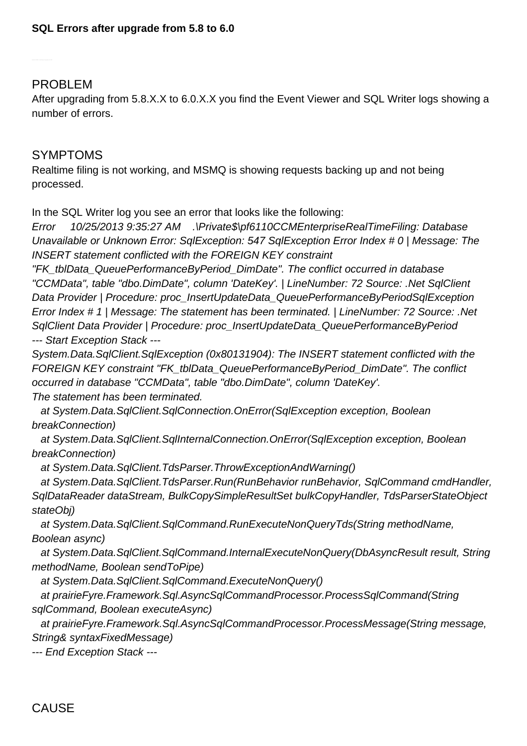PROBLEM

After upgrading from 5.8.X.X to 6.0.X.X you find the Event Viewer and SQL Writer logs showing a number of errors.

## SYMPTOMS

Realtime filing is not working, and MSMQ is showing requests backing up and not being processed.

In the SQL Writer log you see an error that looks like the following:

Error 10/25/2013 9:35:27 AM .\Private\$\pf6110CCMEnterpriseRealTimeFiling: Database Unavailable or Unknown Error: SqlException: 547 SqlException Error Index # 0 | Message: The INSERT statement conflicted with the FOREIGN KEY constraint

"FK\_tblData\_QueuePerformanceByPeriod\_DimDate". The conflict occurred in database "CCMData", table "dbo.DimDate", column 'DateKey'. | LineNumber: 72 Source: .Net SqlClient Data Provider | Procedure: proc\_InsertUpdateData\_QueuePerformanceByPeriodSqlException Error Index # 1 | Message: The statement has been terminated. | LineNumber: 72 Source: .Net SqlClient Data Provider | Procedure: proc\_InsertUpdateData\_QueuePerformanceByPeriod --- Start Exception Stack ---

System.Data.SqlClient.SqlException (0x80131904): The INSERT statement conflicted with the FOREIGN KEY constraint "FK\_tblData\_QueuePerformanceByPeriod\_DimDate". The conflict occurred in database "CCMData", table "dbo.DimDate", column 'DateKey'. The statement has been terminated.

 at System.Data.SqlClient.SqlConnection.OnError(SqlException exception, Boolean breakConnection)

 at System.Data.SqlClient.SqlInternalConnection.OnError(SqlException exception, Boolean breakConnection)

at System.Data.SqlClient.TdsParser.ThrowExceptionAndWarning()

 at System.Data.SqlClient.TdsParser.Run(RunBehavior runBehavior, SqlCommand cmdHandler, SqlDataReader dataStream, BulkCopySimpleResultSet bulkCopyHandler, TdsParserStateObject stateObj)

 at System.Data.SqlClient.SqlCommand.RunExecuteNonQueryTds(String methodName, Boolean async)

 at System.Data.SqlClient.SqlCommand.InternalExecuteNonQuery(DbAsyncResult result, String methodName, Boolean sendToPipe)

at System.Data.SqlClient.SqlCommand.ExecuteNonQuery()

 at prairieFyre.Framework.Sql.AsyncSqlCommandProcessor.ProcessSqlCommand(String sqlCommand, Boolean executeAsync)

 at prairieFyre.Framework.Sql.AsyncSqlCommandProcessor.ProcessMessage(String message, String& syntaxFixedMessage)

--- End Exception Stack ---